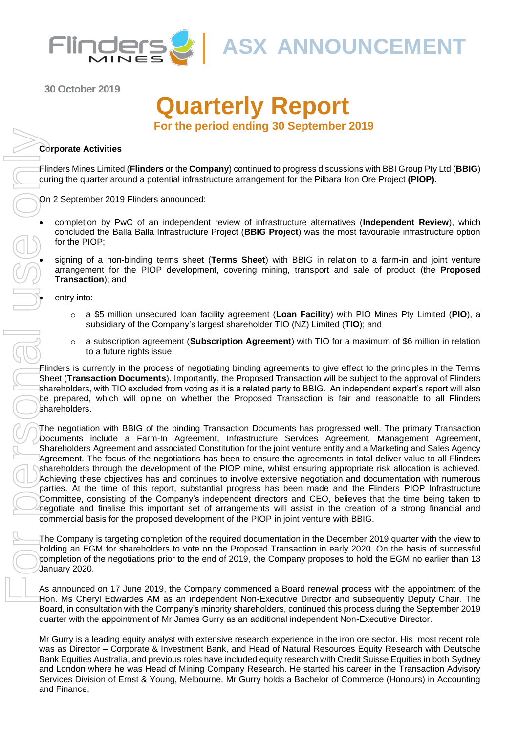

**ASX ANNOUNCEMENT**

**30 October 2019**

# **Quarterly Report For the period ending 30 September 2019**

### **Corporate Activities**

Flinders Mines Limited (**Flinders** or the **Company**) continued to progress discussions with BBI Group Pty Ltd (**BBIG**) during the quarter around a potential infrastructure arrangement for the Pilbara Iron Ore Project **(PIOP).** 

On 2 September 2019 Flinders announced:

• completion by PwC of an independent review of infrastructure alternatives (**Independent Review**), which concluded the Balla Balla Infrastructure Project (**BBIG Project**) was the most favourable infrastructure option for the PIOP;

• signing of a non-binding terms sheet (**Terms Sheet**) with BBIG in relation to a farm-in and joint venture arrangement for the PIOP development, covering mining, transport and sale of product (the **Proposed Transaction**); and

entry into:

- o a \$5 million unsecured loan facility agreement (**Loan Facility**) with PIO Mines Pty Limited (**PIO**), a subsidiary of the Company's largest shareholder TIO (NZ) Limited (**TIO**); and
- o a subscription agreement (**Subscription Agreement**) with TIO for a maximum of \$6 million in relation to a future rights issue.

Flinders is currently in the process of negotiating binding agreements to give effect to the principles in the Terms Sheet (**Transaction Documents**). Importantly, the Proposed Transaction will be subject to the approval of Flinders shareholders, with TIO excluded from voting as it is a related party to BBIG. An independent expert's report will also be prepared, which will opine on whether the Proposed Transaction is fair and reasonable to all Flinders shareholders.

The negotiation with BBIG of the binding Transaction Documents has progressed well. The primary Transaction Documents include a Farm-In Agreement, Infrastructure Services Agreement, Management Agreement, Shareholders Agreement and associated Constitution for the joint venture entity and a Marketing and Sales Agency Agreement. The focus of the negotiations has been to ensure the agreements in total deliver value to all Flinders shareholders through the development of the PIOP mine, whilst ensuring appropriate risk allocation is achieved. Achieving these objectives has and continues to involve extensive negotiation and documentation with numerous parties. At the time of this report, substantial progress has been made and the Flinders PIOP Infrastructure Committee, consisting of the Company's independent directors and CEO, believes that the time being taken to negotiate and finalise this important set of arrangements will assist in the creation of a strong financial and commercial basis for the proposed development of the PIOP in joint venture with BBIG.

The Company is targeting completion of the required documentation in the December 2019 quarter with the view to holding an EGM for shareholders to vote on the Proposed Transaction in early 2020. On the basis of successful completion of the negotiations prior to the end of 2019, the Company proposes to hold the EGM no earlier than 13 January 2020.

As announced on 17 June 2019, the Company commenced a Board renewal process with the appointment of the Hon. Ms Cheryl Edwardes AM as an independent Non-Executive Director and subsequently Deputy Chair. The Board, in consultation with the Company's minority shareholders, continued this process during the September 2019 quarter with the appointment of Mr James Gurry as an additional independent Non-Executive Director.

Mr Gurry is a leading equity analyst with extensive research experience in the iron ore sector. His most recent role was as Director – Corporate & Investment Bank, and Head of Natural Resources Equity Research with Deutsche Bank Equities Australia, and previous roles have included equity research with Credit Suisse Equities in both Sydney and London where he was Head of Mining Company Research. He started his career in the Transaction Advisory Services Division of Ernst & Young, Melbourne. Mr Gurry holds a Bachelor of Commerce (Honours) in Accounting and Finance.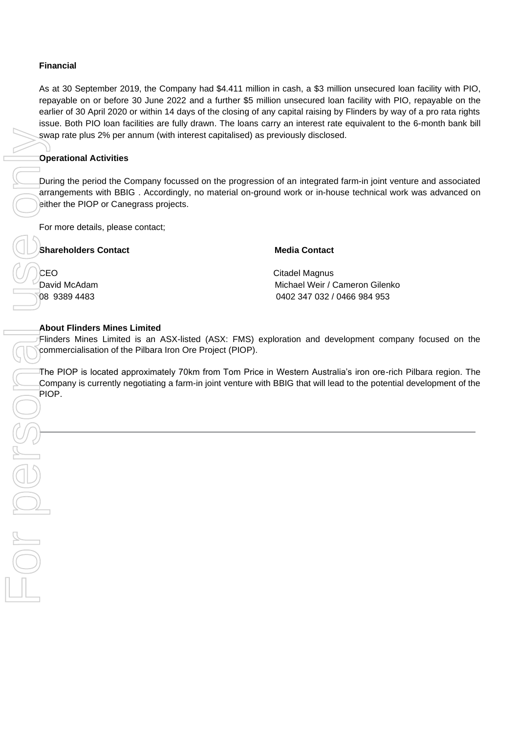## **Financial**

As at 30 September 2019, the Company had \$4.411 million in cash, a \$3 million unsecured loan facility with PIO, repayable on or before 30 June 2022 and a further \$5 million unsecured loan facility with PIO, repayable on the earlier of 30 April 2020 or within 14 days of the closing of any capital raising by Flinders by way of a pro rata rights issue. Both PIO loan facilities are fully drawn. The loans carry an interest rate equivalent to the 6-month bank bill swap rate plus 2% per annum (with interest capitalised) as previously disclosed.

## **Operational Activities**

During the period the Company focussed on the progression of an integrated farm-in joint venture and associated arrangements with BBIG . Accordingly, no material on-ground work or in-house technical work was advanced on either the PIOP or Canegrass projects.

For more details, please contact;

## **Shareholders Contact Contact Contact Contact Contact Redia Contact Redia Contact**

CEO Citadel Magnus David McAdam Michael Weir / Cameron Gilenko 08 9389 4483 0402 347 032 / 0466 984 953

## **About Flinders Mines Limited**

Flinders Mines Limited is an ASX-listed (ASX: FMS) exploration and development company focused on the commercialisation of the Pilbara Iron Ore Project (PIOP).

The PIOP is located approximately 70km from Tom Price in Western Australia's iron ore-rich Pilbara region. The Company is currently negotiating a farm-in joint venture with BBIG that will lead to the potential development of the PIOP.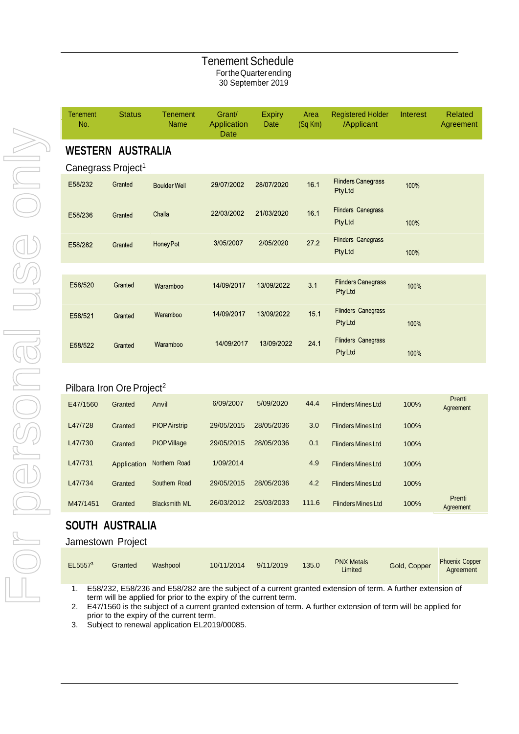## Tenement Schedule FortheQuarterending 30 September 2019

| <b>Tenement</b><br>No. | <b>Status</b>                  | <b>Tenement</b><br><b>Name</b> | Grant/<br>Application<br>Date | <b>Expiry</b><br>Date | Area<br>(Sq Km) | <b>Registered Holder</b><br>/Applicant     | Interest | <b>Related</b><br>Agreement |
|------------------------|--------------------------------|--------------------------------|-------------------------------|-----------------------|-----------------|--------------------------------------------|----------|-----------------------------|
|                        | <b>WESTERN AUSTRALIA</b>       |                                |                               |                       |                 |                                            |          |                             |
|                        | Canegrass Project <sup>1</sup> |                                |                               |                       |                 |                                            |          |                             |
| E58/232                | Granted                        | <b>Boulder Well</b>            | 29/07/2002                    | 28/07/2020            | 16.1            | <b>Flinders Canegrass</b><br>PtyLtd        | 100%     |                             |
| E58/236                | Granted                        | Challa                         | 22/03/2002                    | 21/03/2020            | 16.1            | <b>Flinders Canegrass</b><br><b>PtyLtd</b> | 100%     |                             |
| E58/282                | Granted                        | <b>HoneyPot</b>                | 3/05/2007                     | 2/05/2020             | 27.2            | <b>Flinders Canegrass</b><br>PtyLtd        | 100%     |                             |
|                        |                                |                                |                               |                       |                 |                                            |          |                             |
| E58/520                | Granted                        | Waramboo                       | 14/09/2017                    | 13/09/2022            | 3.1             | <b>Flinders Canegrass</b><br><b>PtyLtd</b> | 100%     |                             |
| E58/521                | Granted                        | Waramboo                       | 14/09/2017                    | 13/09/2022            | 15.1            | <b>Flinders Canegrass</b><br><b>PtyLtd</b> | 100%     |                             |
| E58/522                | Granted                        | Waramboo                       | 14/09/2017                    | 13/09/2022            | 24.1            | <b>Flinders Canegrass</b><br><b>PtyLtd</b> | 100%     |                             |
|                        |                                |                                |                               |                       |                 |                                            |          |                             |

## Pilbara Iron Ore Project<sup>2</sup>

| E47/1560 | Granted     | Anvil                | 6/09/2007  | 5/09/2020  | 44.4  | <b>Flinders Mines Ltd</b> | 100% | Prenti<br>Agreement |
|----------|-------------|----------------------|------------|------------|-------|---------------------------|------|---------------------|
| L47/728  | Granted     | <b>PIOP Airstrip</b> | 29/05/2015 | 28/05/2036 | 3.0   | <b>Flinders Mines Ltd</b> | 100% |                     |
| L47/730  | Granted     | <b>PIOP Village</b>  | 29/05/2015 | 28/05/2036 | 0.1   | <b>Flinders Mines Ltd</b> | 100% |                     |
| L47/731  | Application | Northern Road        | 1/09/2014  |            | 4.9   | <b>Flinders Mines Ltd</b> | 100% |                     |
| L47/734  | Granted     | Southern Road        | 29/05/2015 | 28/05/2036 | 4.2   | <b>Flinders Mines Ltd</b> | 100% |                     |
| M47/1451 | Granted     | <b>Blacksmith ML</b> | 26/03/2012 | 25/03/2033 | 111.6 | <b>Flinders Mines Ltd</b> | 100% | Prenti<br>Agreement |

## **SOUTH AUSTRALIA**

## Jamestown Project

| EL5557 <sup>3</sup> | Granted | Washpool | 10/11/2014 | 9/11/2019 | 135.0 | <b>PNX Metals</b><br>Limited | Gold, Copper | <b>Phoenix Copper</b><br>Agreement |
|---------------------|---------|----------|------------|-----------|-------|------------------------------|--------------|------------------------------------|
|---------------------|---------|----------|------------|-----------|-------|------------------------------|--------------|------------------------------------|

1. E58/232, E58/236 and E58/282 are the subject of a current granted extension of term. A further extension of term will be applied for prior to the expiry of the current term.

2. E47/1560 is the subject of a current granted extension of term. A further extension of term will be applied for prior to the expiry of the current term.

3. Subject to renewal application EL2019/00085.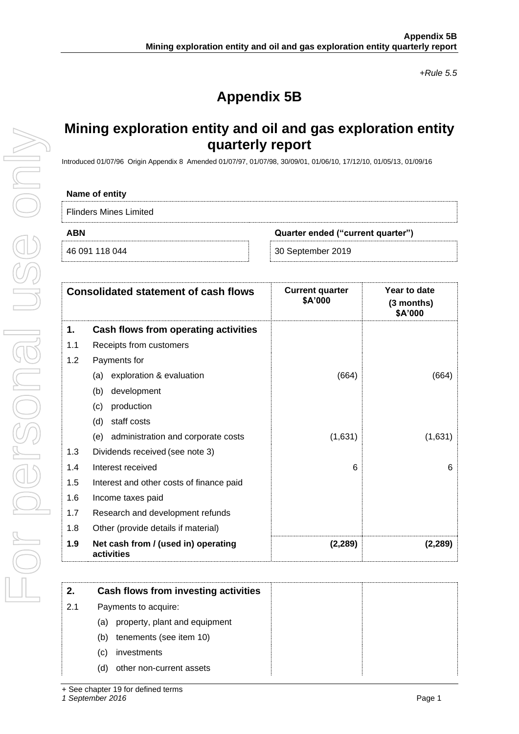*+Rule 5.5*

# **Appendix 5B**

## **Mining exploration entity and oil and gas exploration entity quarterly report**

Introduced 01/07/96 Origin Appendix 8 Amended 01/07/97, 01/07/98, 30/09/01, 01/06/10, 17/12/10, 01/05/13, 01/09/16

#### **Name of entity**

Flinders Mines Limited

**ABN Quarter ended ("current quarter")**

46 091 118 044 30 September 2019

|     | <b>Consolidated statement of cash flows</b>       | <b>Current quarter</b><br>\$A'000 | Year to date<br>$(3$ months)<br>\$A'000 |
|-----|---------------------------------------------------|-----------------------------------|-----------------------------------------|
| 1.  | Cash flows from operating activities              |                                   |                                         |
| 1.1 | Receipts from customers                           |                                   |                                         |
| 1.2 | Payments for                                      |                                   |                                         |
|     | exploration & evaluation<br>(a)                   | (664)                             | (664)                                   |
|     | development<br>(b)                                |                                   |                                         |
|     | production<br>(c)                                 |                                   |                                         |
|     | staff costs<br>(d)                                |                                   |                                         |
|     | (e) administration and corporate costs            | (1,631)                           | (1,631)                                 |
| 1.3 | Dividends received (see note 3)                   |                                   |                                         |
| 1.4 | Interest received                                 | 6                                 | 6                                       |
| 1.5 | Interest and other costs of finance paid          |                                   |                                         |
| 1.6 | Income taxes paid                                 |                                   |                                         |
| 1.7 | Research and development refunds                  |                                   |                                         |
| 1.8 | Other (provide details if material)               |                                   |                                         |
| 1.9 | Net cash from / (used in) operating<br>activities | (2, 289)                          | (2, 289)                                |

| 2.  | Cash flows from investing activities |
|-----|--------------------------------------|
| 2.1 | Payments to acquire:                 |
|     | property, plant and equipment<br>(a) |
|     | tenements (see item 10)<br>(b)       |
|     | investments<br>(C)                   |
|     | other non-current assets<br>(d)      |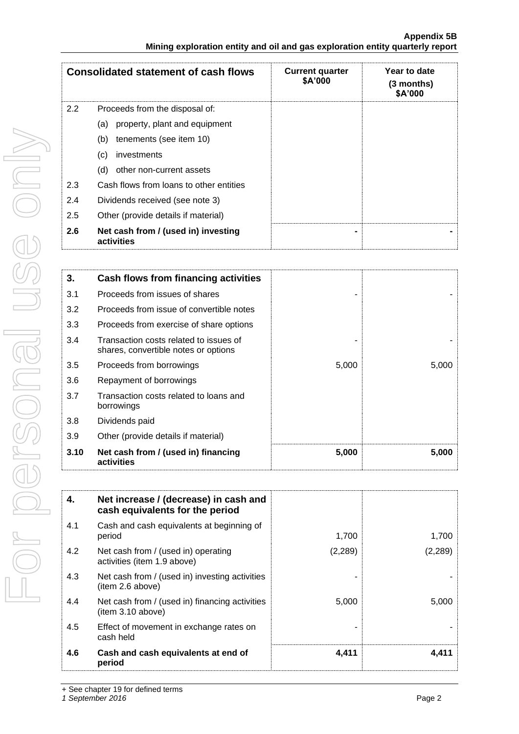| <b>Consolidated statement of cash flows</b> |                                                   | <b>Current quarter</b><br>\$A'000 | Year to date<br>(3 months)<br>\$A'000 |
|---------------------------------------------|---------------------------------------------------|-----------------------------------|---------------------------------------|
| $2.2^{\circ}$                               | Proceeds from the disposal of:                    |                                   |                                       |
|                                             | property, plant and equipment<br>(a)              |                                   |                                       |
|                                             | tenements (see item 10)<br>(b)                    |                                   |                                       |
|                                             | (c)<br>investments                                |                                   |                                       |
|                                             | other non-current assets<br>(d)                   |                                   |                                       |
| 2.3                                         | Cash flows from loans to other entities           |                                   |                                       |
| 2.4                                         | Dividends received (see note 3)                   |                                   |                                       |
| 2.5                                         | Other (provide details if material)               |                                   |                                       |
| 2.6                                         | Net cash from / (used in) investing<br>activities |                                   |                                       |

| 3.   | Cash flows from financing activities                                           |       |       |
|------|--------------------------------------------------------------------------------|-------|-------|
| 3.1  | Proceeds from issues of shares                                                 |       |       |
| 3.2  | Proceeds from issue of convertible notes                                       |       |       |
| 3.3  | Proceeds from exercise of share options                                        |       |       |
| 3.4  | Transaction costs related to issues of<br>shares, convertible notes or options |       |       |
| 3.5  | Proceeds from borrowings                                                       | 5,000 | 5,000 |
| 3.6  | Repayment of borrowings                                                        |       |       |
| 3.7  | Transaction costs related to loans and<br>borrowings                           |       |       |
| 3.8  | Dividends paid                                                                 |       |       |
| 3.9  | Other (provide details if material)                                            |       |       |
| 3.10 | Net cash from / (used in) financing<br>activities                              | 5,000 | 5,000 |

| 4.  | Net increase / (decrease) in cash and<br>cash equivalents for the period |         |          |
|-----|--------------------------------------------------------------------------|---------|----------|
| 4.1 | Cash and cash equivalents at beginning of<br>period                      | 1.700   | 1.700    |
| 4.2 | Net cash from / (used in) operating<br>activities (item 1.9 above)       | (2,289) | (2, 289) |
| 4.3 | Net cash from / (used in) investing activities<br>item 2.6 above)        |         |          |
| 4.4 | Net cash from / (used in) financing activities<br>item 3.10 above)       | 5,000   | 5.000    |
| 4.5 | Effect of movement in exchange rates on<br>cash held                     |         |          |
| 4.6 | Cash and cash equivalents at end of<br>period                            | 4,411   | 4,411    |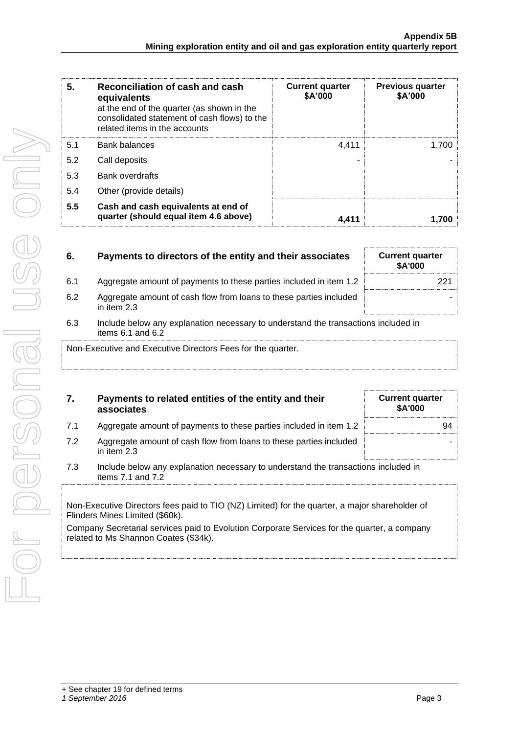| 5.  | Reconciliation of cash and cash<br>equivalents<br>at the end of the quarter (as shown in the<br>consolidated statement of cash flows) to the<br>related items in the accounts | <b>Current quarter</b><br>\$A'000 | <b>Previous quarter</b><br>\$A'000 |
|-----|-------------------------------------------------------------------------------------------------------------------------------------------------------------------------------|-----------------------------------|------------------------------------|
| 5.1 | <b>Bank balances</b>                                                                                                                                                          | 4.411                             | 1,700                              |
| 5.2 | Call deposits                                                                                                                                                                 | -                                 |                                    |
| 5.3 | <b>Bank overdrafts</b>                                                                                                                                                        |                                   |                                    |
| 5.4 | Other (provide details)                                                                                                                                                       |                                   |                                    |
| 5.5 | Cash and cash equivalents at end of<br>quarter (should equal item 4.6 above)                                                                                                  | 4.411                             | 1.700                              |

| 6.  | Payments to directors of the entity and their associates                                                    | <b>Current quarter</b><br><b>\$A'000</b> |
|-----|-------------------------------------------------------------------------------------------------------------|------------------------------------------|
| 6.1 | Aggregate amount of payments to these parties included in item 1.2                                          | 221                                      |
| 6.2 | Aggregate amount of cash flow from loans to these parties included<br>in item $2.3$                         |                                          |
| 6.3 | Include below any explanation necessary to understand the transactions included in<br>items $6.1$ and $6.2$ |                                          |

Non-Executive and Executive Directors Fees for the quarter.

|    | Payments to related entities of the entity and their<br>associates | <b>Current quarter</b><br><b>\$A'000</b> |
|----|--------------------------------------------------------------------|------------------------------------------|
| 71 | Aggregate amount of payments to these parties included in item 1.2 | 94                                       |

- 7.2 Aggregate amount of cash flow from loans to these parties included in item 2.3
- 7.3 Include below any explanation necessary to understand the transactions included in items 7.1 and 7.2

Non-Executive Directors fees paid to TIO (NZ) Limited) for the quarter, a major shareholder of Flinders Mines Limited (\$60k).

Company Secretarial services paid to Evolution Corporate Services for the quarter, a company related to Ms Shannon Coates (\$34k).

-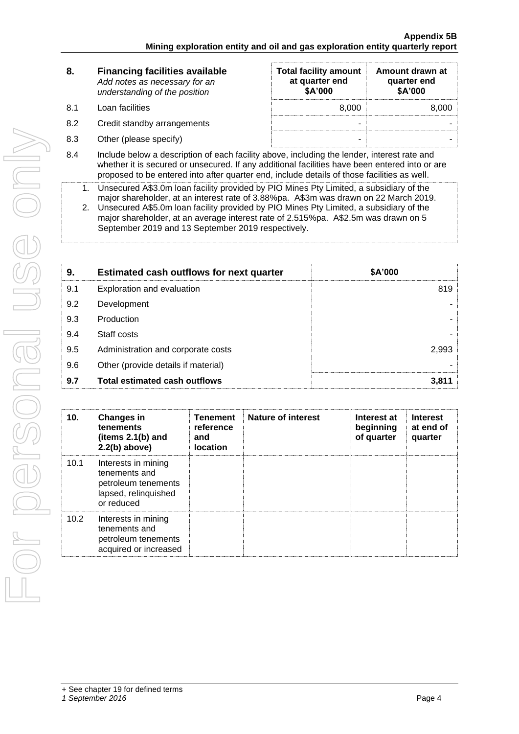| 8.  | <b>Financing facilities available</b><br>Add notes as necessary for an<br>understanding of the position | <b>Total facility amount</b><br>at quarter end<br>\$A'000 | Amount drawn at<br>quarter end<br>\$A'000 |
|-----|---------------------------------------------------------------------------------------------------------|-----------------------------------------------------------|-------------------------------------------|
| 8.1 | Loan facilities                                                                                         | 8.000                                                     | 8.000                                     |
| 8.2 | Credit standby arrangements                                                                             | -                                                         |                                           |
| 8.3 | Other (please specify)                                                                                  | -                                                         |                                           |
|     |                                                                                                         |                                                           |                                           |

- 8.4 Include below a description of each facility above, including the lender, interest rate and whether it is secured or unsecured. If any additional facilities have been entered into or are proposed to be entered into after quarter end, include details of those facilities as well.
	- 1. Unsecured A\$3.0m loan facility provided by PIO Mines Pty Limited, a subsidiary of the major shareholder, at an interest rate of 3.88%pa. A\$3m was drawn on 22 March 2019.
	- 2. Unsecured A\$5.0m loan facility provided by PIO Mines Pty Limited, a subsidiary of the major shareholder, at an average interest rate of 2.515%pa. A\$2.5m was drawn on 5 September 2019 and 13 September 2019 respectively.

| 9.  | <b>Estimated cash outflows for next quarter</b> | \$A'000 |  |
|-----|-------------------------------------------------|---------|--|
| 9.1 | Exploration and evaluation                      | 819     |  |
| 9.2 | Development                                     |         |  |
| 9.3 | Production                                      |         |  |
| 9.4 | Staff costs                                     |         |  |
| 9.5 | Administration and corporate costs              | 2,993   |  |
| 9.6 | Other (provide details if material)             |         |  |
| 9.7 | <b>Total estimated cash outflows</b>            | 3,811   |  |

| 10.  | <b>Changes in</b><br>tenements<br>(items $2.1(b)$ and<br>$2.2(b)$ above)                          | <b>Tenement</b><br>reference<br>and<br><b>location</b> | Nature of interest | Interest at<br>beginning<br>of quarter | <b>Interest</b><br>at end of<br>quarter |
|------|---------------------------------------------------------------------------------------------------|--------------------------------------------------------|--------------------|----------------------------------------|-----------------------------------------|
| 10.1 | Interests in mining<br>tenements and<br>petroleum tenements<br>lapsed, relinquished<br>or reduced |                                                        |                    |                                        |                                         |
| 10.2 | Interests in mining<br>tenements and<br>petroleum tenements<br>acquired or increased              |                                                        |                    |                                        |                                         |